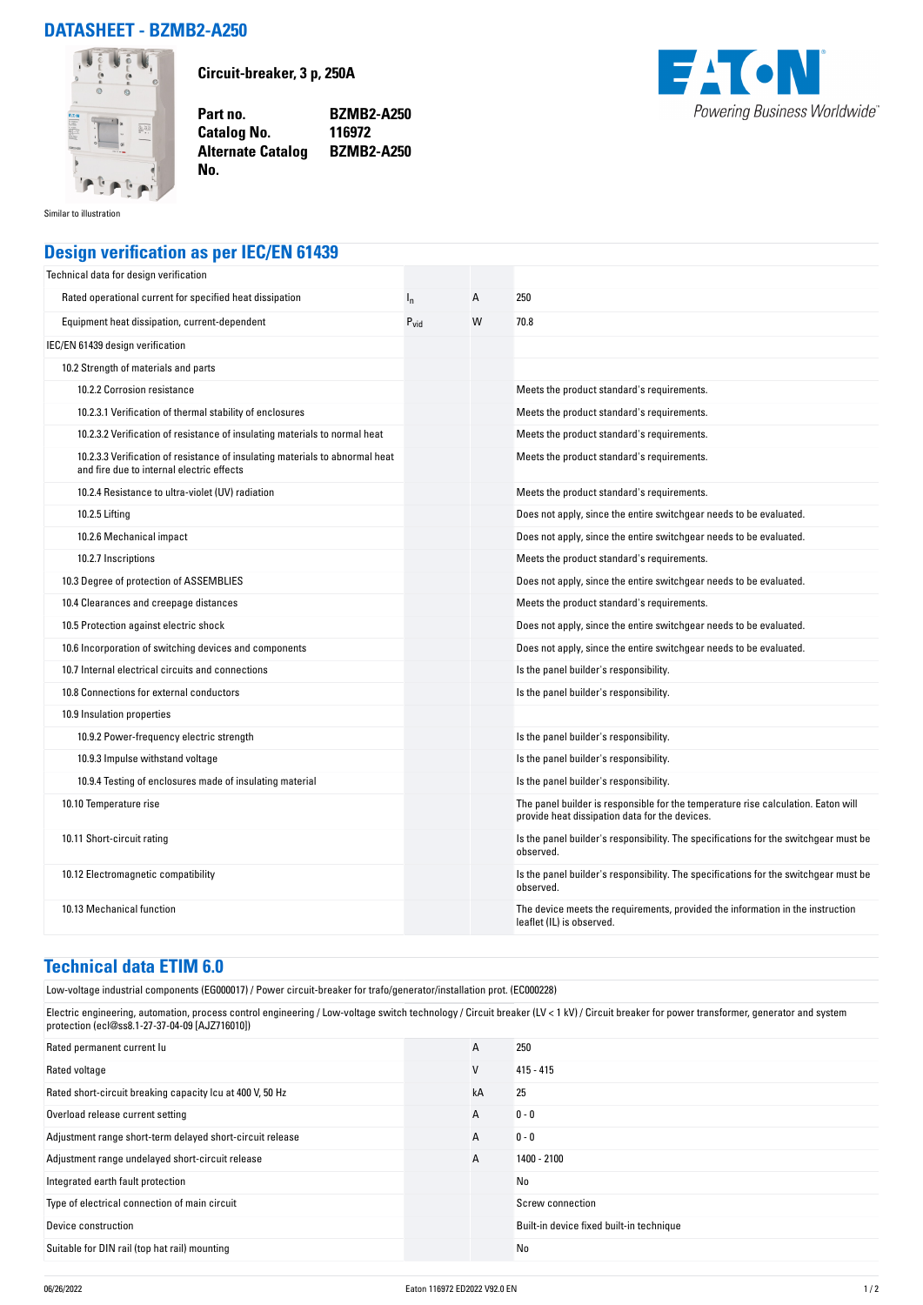## **DATASHEET - BZMB2-A250**



**Circuit-breaker, 3 p, 250A**

**Catalog No.** 

**No.** 

**Part no. BZMB2-A250 Alternate Catalog BZMB2-A250**



Similar to illustration

## **Design verification as per IEC/EN 61439**

| Technical data for design verification                                                                                    |           |   |                                                                                                                                     |
|---------------------------------------------------------------------------------------------------------------------------|-----------|---|-------------------------------------------------------------------------------------------------------------------------------------|
| Rated operational current for specified heat dissipation                                                                  | $I_{n}$   | A | 250                                                                                                                                 |
| Equipment heat dissipation, current-dependent                                                                             | $P_{vid}$ | W | 70.8                                                                                                                                |
| IEC/EN 61439 design verification                                                                                          |           |   |                                                                                                                                     |
| 10.2 Strength of materials and parts                                                                                      |           |   |                                                                                                                                     |
| 10.2.2 Corrosion resistance                                                                                               |           |   | Meets the product standard's requirements.                                                                                          |
| 10.2.3.1 Verification of thermal stability of enclosures                                                                  |           |   | Meets the product standard's requirements.                                                                                          |
| 10.2.3.2 Verification of resistance of insulating materials to normal heat                                                |           |   | Meets the product standard's requirements.                                                                                          |
| 10.2.3.3 Verification of resistance of insulating materials to abnormal heat<br>and fire due to internal electric effects |           |   | Meets the product standard's requirements.                                                                                          |
| 10.2.4 Resistance to ultra-violet (UV) radiation                                                                          |           |   | Meets the product standard's requirements.                                                                                          |
| 10.2.5 Lifting                                                                                                            |           |   | Does not apply, since the entire switchgear needs to be evaluated.                                                                  |
| 10.2.6 Mechanical impact                                                                                                  |           |   | Does not apply, since the entire switchgear needs to be evaluated.                                                                  |
| 10.2.7 Inscriptions                                                                                                       |           |   | Meets the product standard's requirements.                                                                                          |
| 10.3 Degree of protection of ASSEMBLIES                                                                                   |           |   | Does not apply, since the entire switchgear needs to be evaluated.                                                                  |
| 10.4 Clearances and creepage distances                                                                                    |           |   | Meets the product standard's requirements.                                                                                          |
| 10.5 Protection against electric shock                                                                                    |           |   | Does not apply, since the entire switchgear needs to be evaluated.                                                                  |
| 10.6 Incorporation of switching devices and components                                                                    |           |   | Does not apply, since the entire switchgear needs to be evaluated.                                                                  |
| 10.7 Internal electrical circuits and connections                                                                         |           |   | Is the panel builder's responsibility.                                                                                              |
| 10.8 Connections for external conductors                                                                                  |           |   | Is the panel builder's responsibility.                                                                                              |
| 10.9 Insulation properties                                                                                                |           |   |                                                                                                                                     |
| 10.9.2 Power-frequency electric strength                                                                                  |           |   | Is the panel builder's responsibility.                                                                                              |
| 10.9.3 Impulse withstand voltage                                                                                          |           |   | Is the panel builder's responsibility.                                                                                              |
| 10.9.4 Testing of enclosures made of insulating material                                                                  |           |   | Is the panel builder's responsibility.                                                                                              |
| 10.10 Temperature rise                                                                                                    |           |   | The panel builder is responsible for the temperature rise calculation. Eaton will<br>provide heat dissipation data for the devices. |
| 10.11 Short-circuit rating                                                                                                |           |   | Is the panel builder's responsibility. The specifications for the switchgear must be<br>observed.                                   |
| 10.12 Electromagnetic compatibility                                                                                       |           |   | Is the panel builder's responsibility. The specifications for the switchgear must be<br>observed.                                   |
| 10.13 Mechanical function                                                                                                 |           |   | The device meets the requirements, provided the information in the instruction<br>leaflet (IL) is observed.                         |

## **Technical data ETIM 6.0**

Low-voltage industrial components (EG000017) / Power circuit-breaker for trafo/generator/installation prot. (EC000228)

Electric engineering, automation, process control engineering / Low-voltage switch technology / Circuit breaker (LV < 1 kV) / Circuit breaker for power transformer, generator and system protection (ecl@ss8.1-27-37-04-09 [AJZ716010])

| Rated permanent current lu                                | A  | 250                                      |
|-----------------------------------------------------------|----|------------------------------------------|
| Rated voltage                                             | V  | $415 - 415$                              |
| Rated short-circuit breaking capacity Icu at 400 V, 50 Hz | kA | 25                                       |
| Overload release current setting                          | A  | $0 - 0$                                  |
| Adjustment range short-term delayed short-circuit release | A  | $0 - 0$                                  |
| Adjustment range undelayed short-circuit release          | A  | 1400 - 2100                              |
| Integrated earth fault protection                         |    | No                                       |
| Type of electrical connection of main circuit             |    | Screw connection                         |
| Device construction                                       |    | Built-in device fixed built-in technique |
| Suitable for DIN rail (top hat rail) mounting             |    | No                                       |